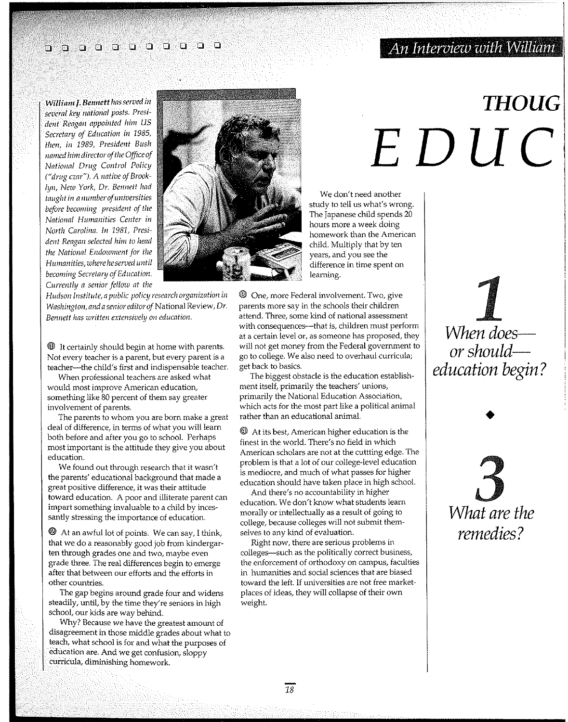## o 0 0 0 0 0 0 0 000

### *An Interview with William '*

*William J. Beunett has served in several key national posts. PresidelI! Reagan appointed him* US *Secretary of Edllcation in 1985, then, in 1989, President Bush* Iral1l~d *him directorofthe Officeof National Drug Control Policy ("drug czar"), A native of Brooklyn, New York, Dr. Bennett had*   $taught in a number of universities$ *before becoming president of the National Humanities Center in North Carolina. In* 1981., *President Reagan selected him to head the National Endowment for the Humanities, where he served until becoming Secretary of Education. Currently a senior fellow at the* 

*Hudson Institute, a public policy research organization in Washington, and a senioreditoroj* National Review, *Dr. Bennett has written extensively on education.* 

 $\mathbf{\mathbf{\mathbb{O}}}$  It certainly should begin at home with parents. Not every teacher is a parent, but every parent is a teacher-the child's first and indispensable teacher.

When professional teachers are asked what would most improve American education, something like 80 percent of them say greater involvement of parents,

The parents to whom you are born make a great deal of difference, in terms of what you will learn both before and after you go to school. Perhaps most important is the attitude they give you about education.

We found out through research that it wasn't the parents' educational background that made a great positive difference, it was their attitude toward education. A poor and illiterate parent can impart something invaluable to a child by incessantly stressing the importance of education.

 $\mathfrak{D}$  At an awful lot of points. We can say, I think, that we do a reasonably good job from kindergarten through grades one and two, maybe even grade three. The real differences begin to emerge after that between our efforts and the efforts in other countries.

The gap begins around grade four and widens steadily, until, by the time they're seniors in high school, our kids are way behind.

Why? Because we have the greatest amount of disagreement in those middle grades about what to teach, what school is for and what the purposes of education are. And we get confusion, sloppy curricula, diminishing homework.



We don't need another study to tell us what's wrong. The Japanese child spends 20 hours more a week doing homework than the American child. Multiply that by ten years, and you see the difference in time spent on learning.

@l One, more Federal involvement. Two, give parents more say in the schools their children attend. Three, some kind of national assessment with consequences--that is, children must perform at a certain level or, as someone has proposed, they will not get money from the Federal government to go to college. We also need to overhaul curricula; get back to basics.

The biggest obstacle is the education establishment itself, primarily the teachers' unions, primarily the National Education Association, which acts for the most part like a political animal rather than an educational animal.

 $\bigcirc$  At its best, American higher education is the finest in the world. There's no field in which American scholars are not at the cuttting edge. The problem is that a lot of our college-level education is mediocre, and much of what passes for higher education should have taken place in high school.

And there's no accountability in higher education. We don't know what students learn morally or intellectually as a result of going to college, because colleges will not submit themselves to any kind of evaluation.

Right now, there are serious problems in colleges--such as the politically correct business, the enforcement of orthodoxy on campus, faculties in humanities and social sciences that are biased toward the left. If universities are not free marketplaces of ideas, they will collapse of their own weight.

## *THOUG EDUC*

 $\prod_{p \mid q \mid \text{occ.}}$ *When doesor shouldeducation begin?* 

> 3 *What are the remedies?*

•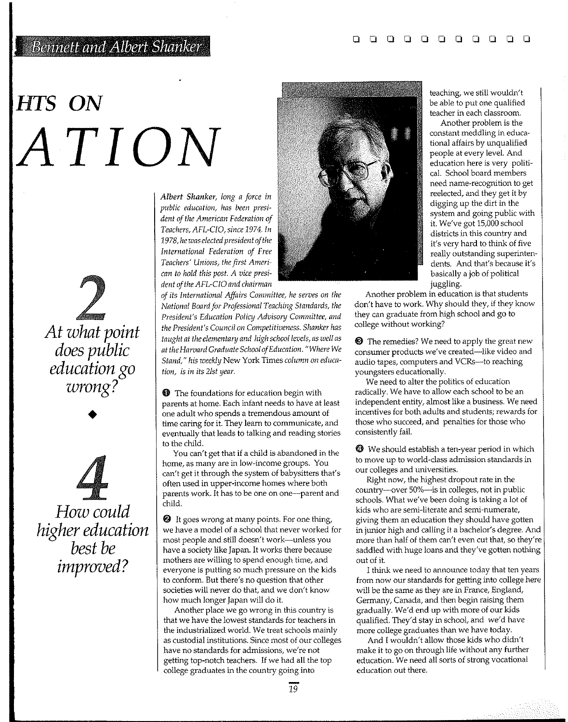### Bennett and Albert Shanker

# *HTS* **ON**  *ATION*

*At what point does public education go wrong?* 

•

 $\frac{\sqrt{2}}{2}$ *How could higher education best be improved?* 

*Albert Shanker, long a force in public education, has been president of the American Federation of Teachers, AFL-CIO, since* 1974. *In 1978, he was elected president of the International Federation of Free Teachers' Unions, the first Amen' can to hold this post. A vice president of the AFL-CIO and chairman* 

*of its International Affairs Committee, he serves on the National Board for Professional Teaching Standards, the President's Education Policy Advisory Committee, and the President's Council on Competitiveness. Shanker has taught at the elementary and high school levels, as well as at the Harvard Graduate School of Education. "Where* We *Stand," his weekly* New York Times *column on education, is in its 21st year.* 

**O** The foundations for education begin with parents at home. Each infant needs to have at least one adult who spends a tremendous amount of time caring for it. They learn to communicate, and eventually that leads to talking and reading stories to the child.

You can't get that if a child is abandoned in the home, as many are in low-income groups. You can't get it through the system of babysitters that's often used in upper-income homes where both parents work. It has to be one on one-parent and child.

 $\bullet$  It goes wrong at many points. For one thing, we have a model of a school that never worked for most people and still doesn't work-unless you have a society like Japan. It works there because mothers are willing to spend enough time, and everyone is putting so much pressure on the kids to conform. But there's no question that other societies will never do that, and we don't know how much longer Japan will do it.

Another place we go wrong in this country is that we have the lowest standards for teachers in the industrialized world. We treat schools mainly as custodial institutions. Since most of our colleges have no standards for admissions, we're not getting top-notch teachers. If we had all the top college graduates in the country going into



teaching, we still wouldn't be able to put one qualified teacher in each classroom.

Another problem is the constant meddling in educational affairs by unqualified people at every level. And education here is very political. School board members need name-recognition to get reelected, and *they* get it by digging up the dirt in the *system* and going public with it. We've got 15,000 school districts in this country and it's very hard to think of five really outstanding superintendents. And that's because it's basically a job of political juggling.

Another problem in education is that students don't have to work. Why should they, if they know they can graduate from high school and go to college without working?

**<sup>3</sup>** The remedies? We need to apply the great new consumer products we've created-like video and audio tapes, computers and VCRs-to reaching youngsters educationally.

We need to alter the politics of education radically. We have to allow each school to be an independent entity, almost like a business. We need incentives for both adults and students; rewards for those who succeed, and penalties for those who consistently fail.

 $\bullet$  We should establish a ten-year period in which to move up to world-class admission standards in our colleges and universities.

Right now, the highest dropout rate in the country-over 50%-is in colleges, not in public schools. What we've been doing is taking a lot of kids who are semi-literate and semi-numerate, giving them an education they should have gotten in junior high and calling it a bachelor's degree. And more than half of them can't even cut that, so they're saddled with huge loans and they've gotten nothing out of it

I think we need to announce today that ten years from now our standards for getting into college here will be the same as they are in France, England, Germany, Canada, and then begin raising them gradually. We'd end up with more of our kids qualified. They'd stay in school, and we'd have more college graduates than we have today.

And I wouldn't allow *those* kids who didn't make it to go on through life without any further education. We need all sorts of strong vocational education out there.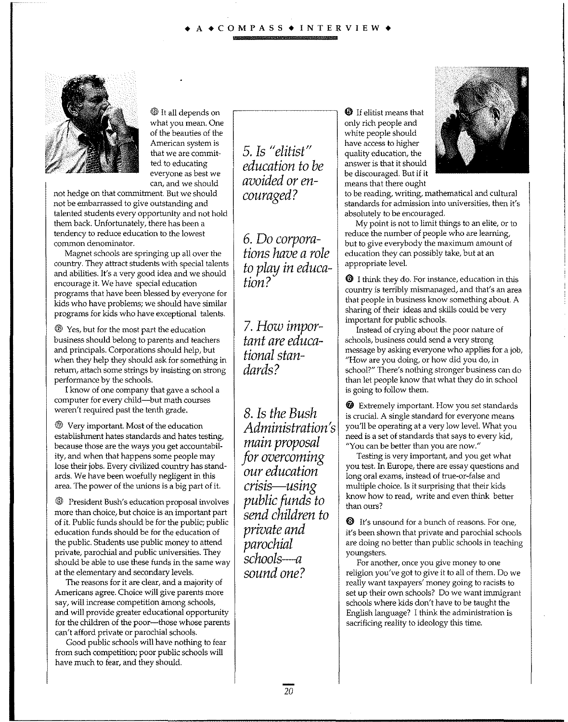#### $\triangle$  COMPASS  $\triangle$  INTERVIEW.



 $\textcircled{\tiny{\textcircled{\tiny{1}}}}$  It all depends on what you mean. One of the beauties of the American system is that we are committed to educating everyone as best we can, and we should

not hedge on that commitment. But we should not be embarrassed to give outstanding and talented students every opportunity and not hold them back. Unfortunately, there has been a tendency to reduce education to the lowest common denominator.

Magnet schools are springing up all over the country. They attract students with special talents and abilities. It's a very good idea and we should encourage it. We have special education programs that have been blessed by everyone for kids who have problems; we should have similar programs for kids who have exceptional talents.

@ Yes, but for the most part the education business should belong to parents and teachers and principals. Corporations should help, but when they help they should ask for something in return, attach some strings by insisting on strong performance by the schools.

I know of one company that gave a school a computer for every child-but math courses weren't required past the tenth grade.

@ Very important. Most of the education establishment hates standards and hates testing, because those are the ways you get accountability, and when that happens some people may lose their jobs. Every civilized country has standards. We have been woefully negligent in this area. The power of the unions is a big part of it.

@l President Bush's education proposal involves more than choice, but choice is an important part of it. Public funds should be for the public; public education funds should be for the education of the public. Students use public money to attend private, parochial and public universities. They should be able to use these funds in the same way at the elementary and secondary levels.

The reasons for it are clear, and a majority of Americans agree. Choice will give parents more say, will increase competition among schools, and will provide greater educational opportunity for the children of the poor---those whose parents can't afford private or parochial schools.

Good public schools will have nothing to fear from such competition; poor public schools will have much to fear, and they should.

*5. Is II elitist II education to be avoided or encouraged?* 

6. Do *corporations luzve a role to play in education?* 

*7. How important are educational standards?* 

*8. Is the Bush Administration's main proposal for overcoming our education* . . , *crzsls-usmg public funds to send children to private and parochial schools--a sound one?* 

**<sup>1</sup>** If elitist means that only rich people and white people should have access to higher quality education, the answer is that it should be discouraged. But if it means that there ought



to be reading, writing, mathematical and cultural standards for admission into universities, then it's absolutely to be encouraged.

My point is not to limit things to an elite, or to reduce the number of people who are learning, but to give everybody the maximum amount of education they can possibly take, but at an appropriate level.

 $\Theta$  I think they do. For instance, education in this country is terribly mismanaged, and that's an area that people in business know something about. A sharing of their ideas and skills could be very important for public schools.

Instead of crying about the poor nature of schools, business could send a very strong message by asking everyone who applies for a job, "How are you doing, or how did you do, in school?" There's nothing stronger business can do than let people know that what they do in school is going to follow them.

**<sup>3</sup>** Extremely important. How you set standards is crucial. A single standard for everyone means you'll be operating at a very low level. What you need is a set of standards that says to every kid, "You can be better than you are now."

Testing is very important, and you get what you test. In Europe, there are essay questions and long oral exams, instead of true-or-false and multiple choice. Is it surprising that their kids know how to read, write and even think better than ours?

 $\Theta$  It's unsound for a bunch of reasons. For one, it's been shown that private and parochial schools are doing no better than public schools in teaching youngsters.

For another, once you give money to one religion you've got to give it to all of them. Do we really want taxpayers' money going to racists to set up their own schools? Do we want immigrant schools where kids don't have to be taught the English language? I think the administration is sacrificing reality to ideology this time.